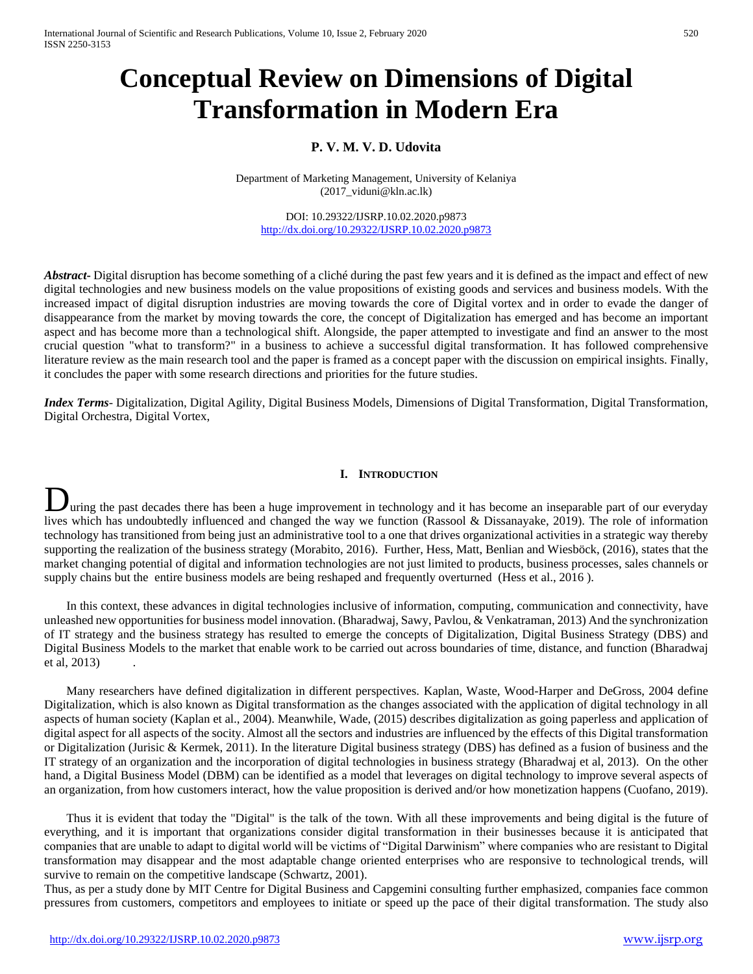# **Conceptual Review on Dimensions of Digital Transformation in Modern Era**

# **P. V. M. V. D. Udovita**

Department of Marketing Management, University of Kelaniya (2017\_viduni@kln.ac.lk)

DOI: 10.29322/IJSRP.10.02.2020.p9873 <http://dx.doi.org/10.29322/IJSRP.10.02.2020.p9873>

*Abstract***-** Digital disruption has become something of a cliché during the past few years and it is defined as the impact and effect of new digital technologies and new business models on the value propositions of existing goods and services and business models. With the increased impact of digital disruption industries are moving towards the core of Digital vortex and in order to evade the danger of disappearance from the market by moving towards the core, the concept of Digitalization has emerged and has become an important aspect and has become more than a technological shift. Alongside, the paper attempted to investigate and find an answer to the most crucial question "what to transform?" in a business to achieve a successful digital transformation. It has followed comprehensive literature review as the main research tool and the paper is framed as a concept paper with the discussion on empirical insights. Finally, it concludes the paper with some research directions and priorities for the future studies.

*Index Terms*- Digitalization, Digital Agility, Digital Business Models, Dimensions of Digital Transformation, Digital Transformation, Digital Orchestra, Digital Vortex,

## **I. INTRODUCTION**

uring the past decades there has been a huge improvement in technology and it has become an inseparable part of our everyday **D** uring the past decades there has been a huge improvement in technology and it has become an inseparable part of our everyday lives which has undoubtedly influenced and changed the way we function (Rassool & Dissanayake technology has transitioned from being just an administrative tool to a one that drives organizational activities in a strategic way thereby supporting the realization of the business strategy (Morabito, 2016). Further, Hess, Matt, Benlian and Wiesböck, (2016), states that the market changing potential of digital and information technologies are not just limited to products, business processes, sales channels or supply chains but the entire business models are being reshaped and frequently overturned (Hess et al., 2016 ).

In this context, these advances in digital technologies inclusive of information, computing, communication and connectivity, have unleashed new opportunities for business model innovation. (Bharadwaj, Sawy, Pavlou, & Venkatraman, 2013) And the synchronization of IT strategy and the business strategy has resulted to emerge the concepts of Digitalization, Digital Business Strategy (DBS) and Digital Business Models to the market that enable work to be carried out across boundaries of time, distance, and function (Bharadwaj et al, 2013)

Many researchers have defined digitalization in different perspectives. Kaplan, Waste, Wood-Harper and DeGross, 2004 define Digitalization, which is also known as Digital transformation as the changes associated with the application of digital technology in all aspects of human society (Kaplan et al., 2004). Meanwhile, Wade, (2015) describes digitalization as going paperless and application of digital aspect for all aspects of the socity. Almost all the sectors and industries are influenced by the effects of this Digital transformation or Digitalization (Jurisic & Kermek, 2011). In the literature Digital business strategy (DBS) has defined as a fusion of business and the IT strategy of an organization and the incorporation of digital technologies in business strategy (Bharadwaj et al, 2013). On the other hand, a Digital Business Model (DBM) can be identified as a model that leverages on digital technology to improve several aspects of an organization, from how customers interact, how the value proposition is derived and/or how monetization happens (Cuofano, 2019).

Thus it is evident that today the "Digital" is the talk of the town. With all these improvements and being digital is the future of everything, and it is important that organizations consider digital transformation in their businesses because it is anticipated that companies that are unable to adapt to digital world will be victims of "Digital Darwinism" where companies who are resistant to Digital transformation may disappear and the most adaptable change oriented enterprises who are responsive to technological trends, will survive to remain on the competitive landscape (Schwartz, 2001).

Thus, as per a study done by MIT Centre for Digital Business and Capgemini consulting further emphasized, companies face common pressures from customers, competitors and employees to initiate or speed up the pace of their digital transformation. The study also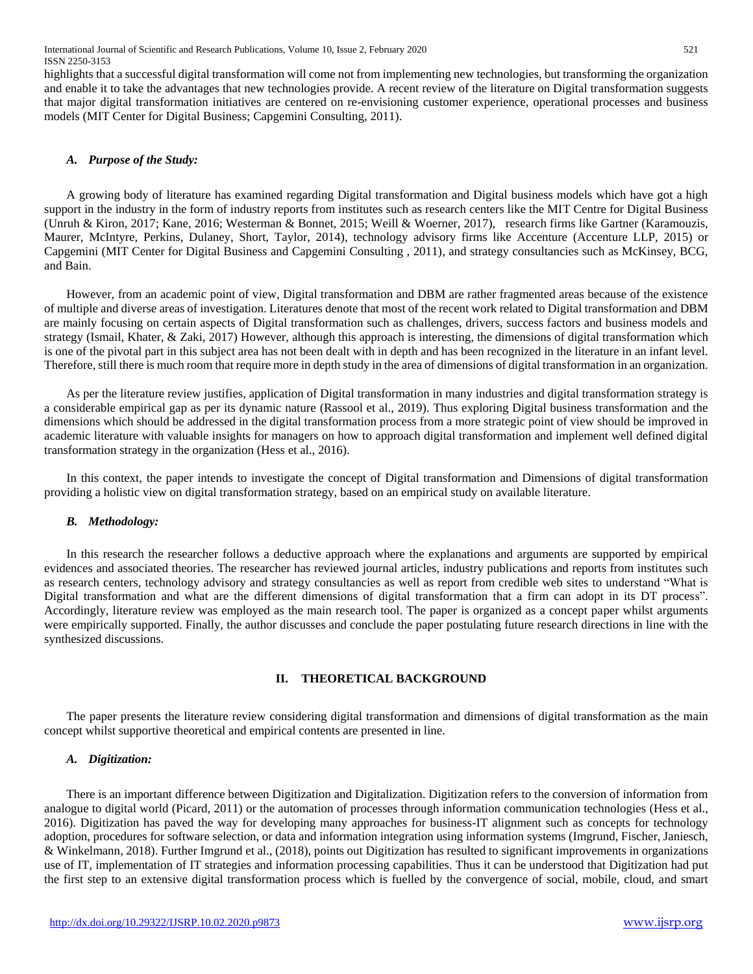International Journal of Scientific and Research Publications, Volume 10, Issue 2, February 2020 521 ISSN 2250-3153

highlights that a successful digital transformation will come not from implementing new technologies, but transforming the organization and enable it to take the advantages that new technologies provide. A recent review of the literature on Digital transformation suggests that major digital transformation initiatives are centered on re-envisioning customer experience, operational processes and business models (MIT Center for Digital Business; Capgemini Consulting, 2011).

#### *A. Purpose of the Study:*

A growing body of literature has examined regarding Digital transformation and Digital business models which have got a high support in the industry in the form of industry reports from institutes such as research centers like the MIT Centre for Digital Business (Unruh & Kiron, 2017; Kane, 2016; Westerman & Bonnet, 2015; Weill & Woerner, 2017), research firms like Gartner (Karamouzis, Maurer, McIntyre, Perkins, Dulaney, Short, Taylor, 2014), technology advisory firms like Accenture (Accenture LLP, 2015) or Capgemini (MIT Center for Digital Business and Capgemini Consulting , 2011), and strategy consultancies such as McKinsey, BCG, and Bain.

However, from an academic point of view, Digital transformation and DBM are rather fragmented areas because of the existence of multiple and diverse areas of investigation. Literatures denote that most of the recent work related to Digital transformation and DBM are mainly focusing on certain aspects of Digital transformation such as challenges, drivers, success factors and business models and strategy (Ismail, Khater, & Zaki, 2017) However, although this approach is interesting, the dimensions of digital transformation which is one of the pivotal part in this subject area has not been dealt with in depth and has been recognized in the literature in an infant level. Therefore, still there is much room that require more in depth study in the area of dimensions of digital transformation in an organization.

As per the literature review justifies, application of Digital transformation in many industries and digital transformation strategy is a considerable empirical gap as per its dynamic nature (Rassool et al., 2019). Thus exploring Digital business transformation and the dimensions which should be addressed in the digital transformation process from a more strategic point of view should be improved in academic literature with valuable insights for managers on how to approach digital transformation and implement well defined digital transformation strategy in the organization (Hess et al., 2016).

In this context, the paper intends to investigate the concept of Digital transformation and Dimensions of digital transformation providing a holistic view on digital transformation strategy, based on an empirical study on available literature.

#### *B. Methodology:*

In this research the researcher follows a deductive approach where the explanations and arguments are supported by empirical evidences and associated theories. The researcher has reviewed journal articles, industry publications and reports from institutes such as research centers, technology advisory and strategy consultancies as well as report from credible web sites to understand "What is Digital transformation and what are the different dimensions of digital transformation that a firm can adopt in its DT process". Accordingly, literature review was employed as the main research tool. The paper is organized as a concept paper whilst arguments were empirically supported. Finally, the author discusses and conclude the paper postulating future research directions in line with the synthesized discussions.

#### **II. THEORETICAL BACKGROUND**

The paper presents the literature review considering digital transformation and dimensions of digital transformation as the main concept whilst supportive theoretical and empirical contents are presented in line.

#### *A. Digitization:*

There is an important difference between Digitization and Digitalization. Digitization refers to the conversion of information from analogue to digital world (Picard, 2011) or the automation of processes through information communication technologies (Hess et al., 2016). Digitization has paved the way for developing many approaches for business-IT alignment such as concepts for technology adoption, procedures for software selection, or data and information integration using information systems (Imgrund, Fischer, Janiesch, & Winkelmann, 2018). Further Imgrund et al., (2018), points out Digitization has resulted to significant improvements in organizations use of IT, implementation of IT strategies and information processing capabilities. Thus it can be understood that Digitization had put the first step to an extensive digital transformation process which is fuelled by the convergence of social, mobile, cloud, and smart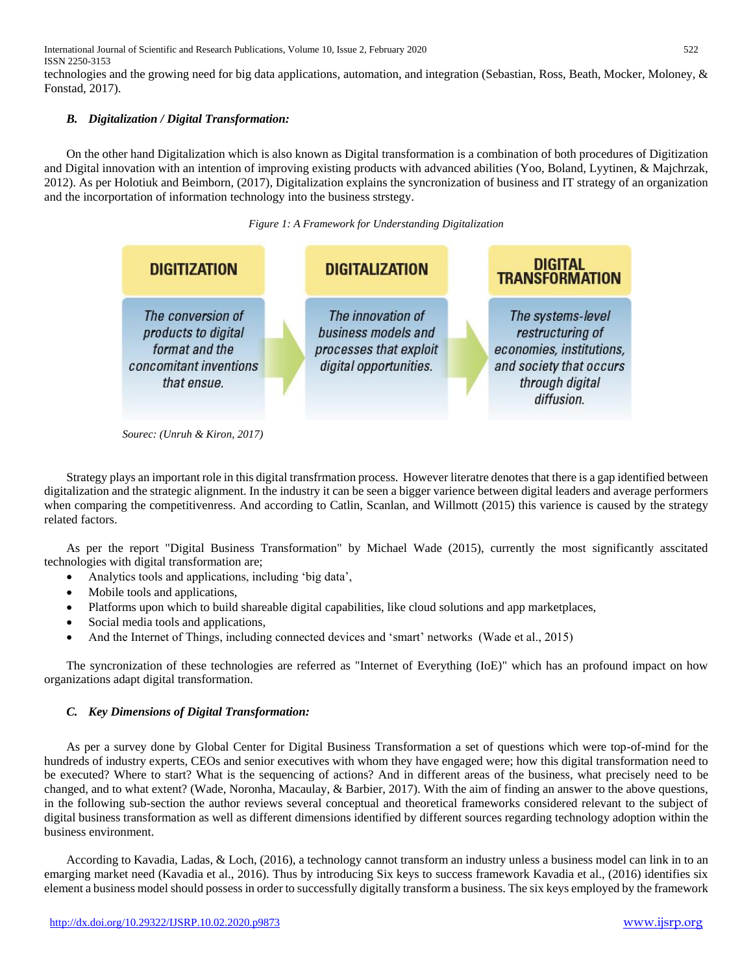International Journal of Scientific and Research Publications, Volume 10, Issue 2, February 2020 522 ISSN 2250-3153

technologies and the growing need for big data applications, automation, and integration (Sebastian, Ross, Beath, Mocker, Moloney, & Fonstad, 2017).

## *B. Digitalization / Digital Transformation:*

On the other hand Digitalization which is also known as Digital transformation is a combination of both procedures of Digitization and Digital innovation with an intention of improving existing products with advanced abilities (Yoo, Boland, Lyytinen, & Majchrzak, 2012). As per Holotiuk and Beimborn, (2017), Digitalization explains the syncronization of business and IT strategy of an organization and the incorportation of information technology into the business strstegy.

#### *Figure 1: A Framework for Understanding Digitalization*



 *Sourec: (Unruh & Kiron, 2017)*

Strategy plays an important role in this digital transfrmation process. However literatre denotes that there is a gap identified between digitalization and the strategic alignment. In the industry it can be seen a bigger varience between digital leaders and average performers when comparing the competitivenress. And according to Catlin, Scanlan, and Willmott (2015) this varience is caused by the strategy related factors.

As per the report "Digital Business Transformation" by Michael Wade (2015), currently the most significantly asscitated technologies with digital transformation are;

- Analytics tools and applications, including 'big data',
- Mobile tools and applications,
- Platforms upon which to build shareable digital capabilities, like cloud solutions and app marketplaces,
- Social media tools and applications,
- And the Internet of Things, including connected devices and 'smart' networks (Wade et al., 2015)

The syncronization of these technologies are referred as "Internet of Everything (IoE)" which has an profound impact on how organizations adapt digital transformation.

## *C. Key Dimensions of Digital Transformation:*

As per a survey done by Global Center for Digital Business Transformation a set of questions which were top-of-mind for the hundreds of industry experts, CEOs and senior executives with whom they have engaged were; how this digital transformation need to be executed? Where to start? What is the sequencing of actions? And in different areas of the business, what precisely need to be changed, and to what extent? (Wade, Noronha, Macaulay, & Barbier, 2017). With the aim of finding an answer to the above questions, in the following sub-section the author reviews several conceptual and theoretical frameworks considered relevant to the subject of digital business transformation as well as different dimensions identified by different sources regarding technology adoption within the business environment.

According to Kavadia, Ladas, & Loch, (2016), a technology cannot transform an industry unless a business model can link in to an emarging market need (Kavadia et al., 2016). Thus by introducing Six keys to success framework Kavadia et al., (2016) identifies six element a business model should possess in order to successfully digitally transform a business. The six keys employed by the framework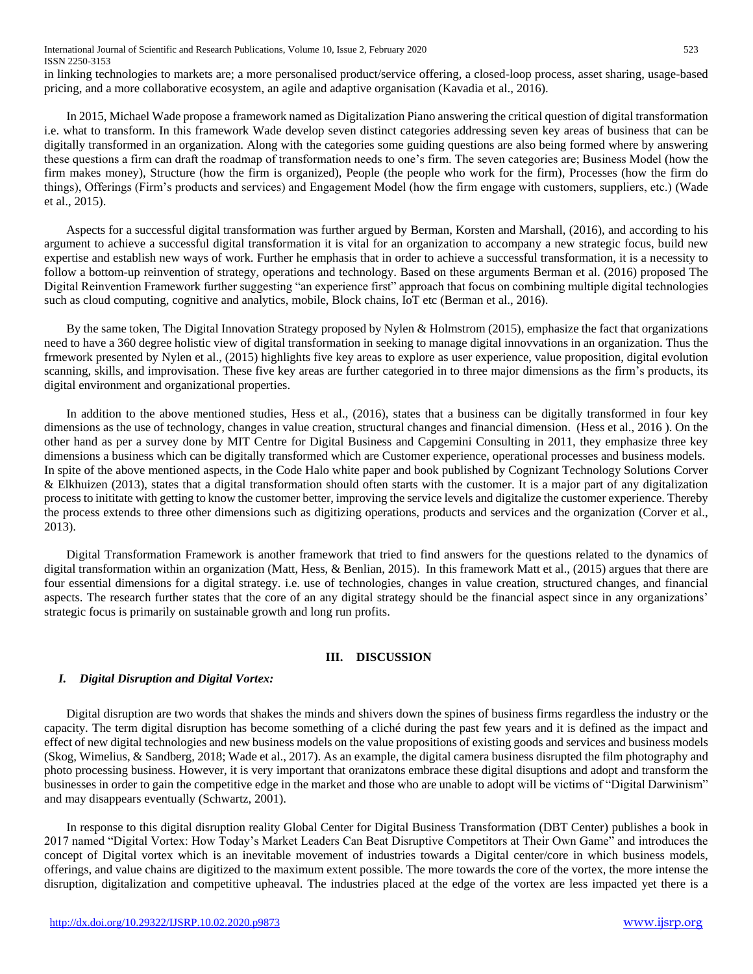International Journal of Scientific and Research Publications, Volume 10, Issue 2, February 2020 523 ISSN 2250-3153

in linking technologies to markets are; a more personalised product/service offering, a closed-loop process, asset sharing, usage-based pricing, and a more collaborative ecosystem, an agile and adaptive organisation (Kavadia et al., 2016).

In 2015, Michael Wade propose a framework named as Digitalization Piano answering the critical question of digital transformation i.e. what to transform. In this framework Wade develop seven distinct categories addressing seven key areas of business that can be digitally transformed in an organization. Along with the categories some guiding questions are also being formed where by answering these questions a firm can draft the roadmap of transformation needs to one's firm. The seven categories are; Business Model (how the firm makes money), Structure (how the firm is organized), People (the people who work for the firm), Processes (how the firm do things), Offerings (Firm's products and services) and Engagement Model (how the firm engage with customers, suppliers, etc.) (Wade et al., 2015).

Aspects for a successful digital transformation was further argued by Berman, Korsten and Marshall, (2016), and according to his argument to achieve a successful digital transformation it is vital for an organization to accompany a new strategic focus, build new expertise and establish new ways of work. Further he emphasis that in order to achieve a successful transformation, it is a necessity to follow a bottom-up reinvention of strategy, operations and technology. Based on these arguments Berman et al. (2016) proposed The Digital Reinvention Framework further suggesting "an experience first" approach that focus on combining multiple digital technologies such as cloud computing, cognitive and analytics, mobile, Block chains, IoT etc (Berman et al., 2016).

By the same token, The Digital Innovation Strategy proposed by Nylen & Holmstrom (2015), emphasize the fact that organizations need to have a 360 degree holistic view of digital transformation in seeking to manage digital innovvations in an organization. Thus the frmework presented by Nylen et al., (2015) highlights five key areas to explore as user experience, value proposition, digital evolution scanning, skills, and improvisation. These five key areas are further categoried in to three major dimensions as the firm's products, its digital environment and organizational properties.

In addition to the above mentioned studies, Hess et al., (2016), states that a business can be digitally transformed in four key dimensions as the use of technology, changes in value creation, structural changes and financial dimension. (Hess et al., 2016 ). On the other hand as per a survey done by MIT Centre for Digital Business and Capgemini Consulting in 2011, they emphasize three key dimensions a business which can be digitally transformed which are Customer experience, operational processes and business models. In spite of the above mentioned aspects, in the Code Halo white paper and book published by Cognizant Technology Solutions Corver & Elkhuizen (2013), states that a digital transformation should often starts with the customer. It is a major part of any digitalization process to inititate with getting to know the customer better, improving the service levels and digitalize the customer experience. Thereby the process extends to three other dimensions such as digitizing operations, products and services and the organization (Corver et al., 2013).

Digital Transformation Framework is another framework that tried to find answers for the questions related to the dynamics of digital transformation within an organization (Matt, Hess, & Benlian, 2015). In this framework Matt et al., (2015) argues that there are four essential dimensions for a digital strategy. i.e. use of technologies, changes in value creation, structured changes, and financial aspects. The research further states that the core of an any digital strategy should be the financial aspect since in any organizations' strategic focus is primarily on sustainable growth and long run profits.

## **III. DISCUSSION**

## *I. Digital Disruption and Digital Vortex:*

Digital disruption are two words that shakes the minds and shivers down the spines of business firms regardless the industry or the capacity. The term digital disruption has become something of a cliché during the past few years and it is defined as the impact and effect of new digital technologies and new business models on the value propositions of existing goods and services and business models (Skog, Wimelius, & Sandberg, 2018; Wade et al., 2017). As an example, the digital camera business disrupted the film photography and photo processing business. However, it is very important that oranizatons embrace these digital disuptions and adopt and transform the businesses in order to gain the competitive edge in the market and those who are unable to adopt will be victims of "Digital Darwinism" and may disappears eventually (Schwartz, 2001).

In response to this digital disruption reality Global Center for Digital Business Transformation (DBT Center) publishes a book in 2017 named "Digital Vortex: How Today's Market Leaders Can Beat Disruptive Competitors at Their Own Game" and introduces the concept of Digital vortex which is an inevitable movement of industries towards a Digital center/core in which business models, offerings, and value chains are digitized to the maximum extent possible. The more towards the core of the vortex, the more intense the disruption, digitalization and competitive upheaval. The industries placed at the edge of the vortex are less impacted yet there is a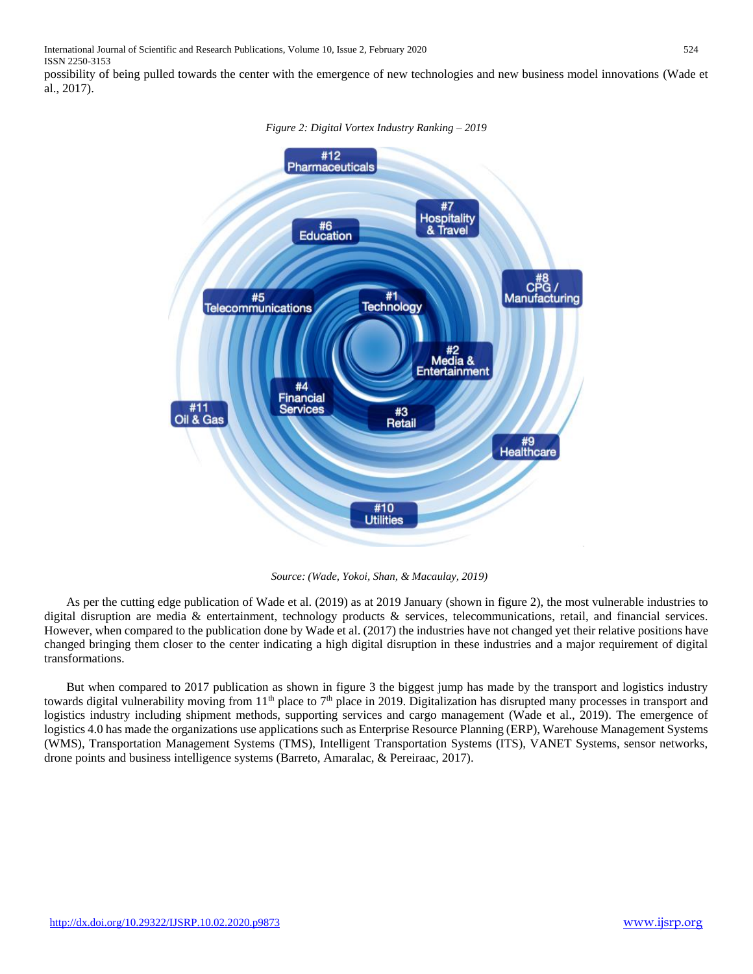International Journal of Scientific and Research Publications, Volume 10, Issue 2, February 2020 524 ISSN 2250-3153

possibility of being pulled towards the center with the emergence of new technologies and new business model innovations (Wade et al., 2017).



*Figure 2: Digital Vortex Industry Ranking – 2019*

 *Source: (Wade, Yokoi, Shan, & Macaulay, 2019)*

As per the cutting edge publication of Wade et al. (2019) as at 2019 January (shown in figure 2), the most vulnerable industries to digital disruption are media & entertainment, technology products & services, telecommunications, retail, and financial services. However, when compared to the publication done by Wade et al. (2017) the industries have not changed yet their relative positions have changed bringing them closer to the center indicating a high digital disruption in these industries and a major requirement of digital transformations.

But when compared to 2017 publication as shown in figure 3 the biggest jump has made by the transport and logistics industry towards digital vulnerability moving from  $11<sup>th</sup>$  place to 7<sup>th</sup> place in 2019. Digitalization has disrupted many processes in transport and logistics industry including shipment methods, supporting services and cargo management (Wade et al., 2019). The emergence of logistics 4.0 has made the organizations use applications such as Enterprise Resource Planning (ERP), Warehouse Management Systems (WMS), Transportation Management Systems (TMS), Intelligent Transportation Systems (ITS), VANET Systems, sensor networks, drone points and business intelligence systems (Barreto, Amaralac, & Pereiraac, 2017).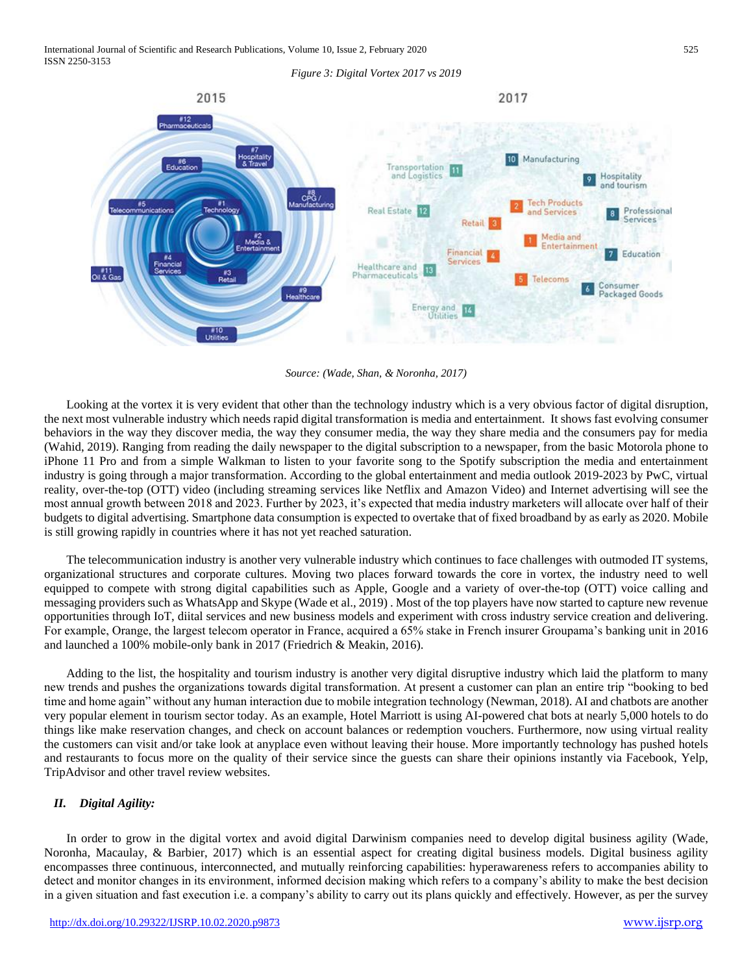

*Source: (Wade, Shan, & Noronha, 2017)*

Looking at the vortex it is very evident that other than the technology industry which is a very obvious factor of digital disruption, the next most vulnerable industry which needs rapid digital transformation is media and entertainment. It shows fast evolving consumer behaviors in the way they discover media, the way they consumer media, the way they share media and the consumers pay for media (Wahid, 2019). Ranging from reading the daily newspaper to the digital subscription to a newspaper, from the basic Motorola phone to iPhone 11 Pro and from a simple Walkman to listen to your favorite song to the Spotify subscription the media and entertainment industry is going through a major transformation. According to the global entertainment and media outlook 2019-2023 by PwC, virtual reality, over-the-top (OTT) video (including streaming services like Netflix and Amazon Video) and Internet advertising will see the most annual growth between 2018 and 2023. Further by 2023, it's expected that media industry marketers will allocate over half of their budgets to digital advertising. Smartphone data consumption is expected to overtake that of fixed broadband by as early as 2020. Mobile is still growing rapidly in countries where it has not yet reached saturation.

The telecommunication industry is another very vulnerable industry which continues to face challenges with outmoded IT systems, organizational structures and corporate cultures. Moving two places forward towards the core in vortex, the industry need to well equipped to compete with strong digital capabilities such as Apple, Google and a variety of over-the-top (OTT) voice calling and messaging providers such as WhatsApp and Skype (Wade et al., 2019) . Most of the top players have now started to capture new revenue opportunities through IoT, diital services and new business models and experiment with cross industry service creation and delivering. For example, Orange, the largest telecom operator in France, acquired a 65% stake in French insurer Groupama's banking unit in 2016 and launched a 100% mobile-only bank in 2017 (Friedrich & Meakin, 2016).

Adding to the list, the hospitality and tourism industry is another very digital disruptive industry which laid the platform to many new trends and pushes the organizations towards digital transformation. At present a customer can plan an entire trip "booking to bed time and home again" without any human interaction due to mobile integration technology (Newman, 2018). AI and chatbots are another very popular element in tourism sector today. As an example, Hotel Marriott is using AI-powered chat bots at nearly 5,000 hotels to do things like make reservation changes, and check on account balances or redemption vouchers. Furthermore, now using virtual reality the customers can visit and/or take look at anyplace even without leaving their house. More importantly technology has pushed hotels and restaurants to focus more on the quality of their service since the guests can share their opinions instantly via Facebook, Yelp, TripAdvisor and other travel review websites.

# *II. Digital Agility:*

In order to grow in the digital vortex and avoid digital Darwinism companies need to develop digital business agility (Wade, Noronha, Macaulay, & Barbier, 2017) which is an essential aspect for creating digital business models. Digital business agility encompasses three continuous, interconnected, and mutually reinforcing capabilities: hyperawareness refers to accompanies ability to detect and monitor changes in its environment, informed decision making which refers to a company's ability to make the best decision in a given situation and fast execution i.e. a company's ability to carry out its plans quickly and effectively. However, as per the survey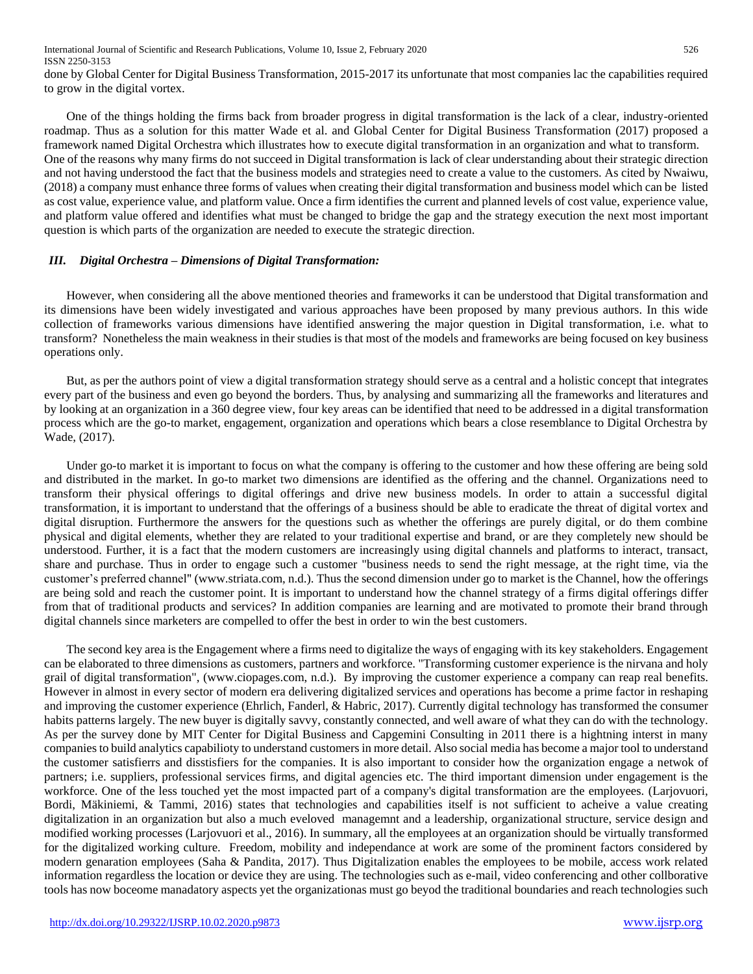done by Global Center for Digital Business Transformation, 2015-2017 its unfortunate that most companies lac the capabilities required to grow in the digital vortex.

One of the things holding the firms back from broader progress in digital transformation is the lack of a clear, industry-oriented roadmap. Thus as a solution for this matter Wade et al. and Global Center for Digital Business Transformation (2017) proposed a framework named Digital Orchestra which illustrates how to execute digital transformation in an organization and what to transform. One of the reasons why many firms do not succeed in Digital transformation is lack of clear understanding about their strategic direction and not having understood the fact that the business models and strategies need to create a value to the customers. As cited by Nwaiwu, (2018) a company must enhance three forms of values when creating their digital transformation and business model which can be listed as cost value, experience value, and platform value. Once a firm identifies the current and planned levels of cost value, experience value, and platform value offered and identifies what must be changed to bridge the gap and the strategy execution the next most important question is which parts of the organization are needed to execute the strategic direction.

# *III. Digital Orchestra – Dimensions of Digital Transformation:*

However, when considering all the above mentioned theories and frameworks it can be understood that Digital transformation and its dimensions have been widely investigated and various approaches have been proposed by many previous authors. In this wide collection of frameworks various dimensions have identified answering the major question in Digital transformation, i.e. what to transform? Nonetheless the main weakness in their studies is that most of the models and frameworks are being focused on key business operations only.

But, as per the authors point of view a digital transformation strategy should serve as a central and a holistic concept that integrates every part of the business and even go beyond the borders. Thus, by analysing and summarizing all the frameworks and literatures and by looking at an organization in a 360 degree view, four key areas can be identified that need to be addressed in a digital transformation process which are the go-to market, engagement, organization and operations which bears a close resemblance to Digital Orchestra by Wade, (2017).

Under go-to market it is important to focus on what the company is offering to the customer and how these offering are being sold and distributed in the market. In go-to market two dimensions are identified as the offering and the channel. Organizations need to transform their physical offerings to digital offerings and drive new business models. In order to attain a successful digital transformation, it is important to understand that the offerings of a business should be able to eradicate the threat of digital vortex and digital disruption. Furthermore the answers for the questions such as whether the offerings are purely digital, or do them combine physical and digital elements, whether they are related to your traditional expertise and brand, or are they completely new should be understood. Further, it is a fact that the modern customers are increasingly using digital channels and platforms to interact, transact, share and purchase. Thus in order to engage such a customer "business needs to send the right message, at the right time, via the customer's preferred channel" (www.striata.com, n.d.). Thus the second dimension under go to market is the Channel, how the offerings are being sold and reach the customer point. It is important to understand how the channel strategy of a firms digital offerings differ from that of traditional products and services? In addition companies are learning and are motivated to promote their brand through digital channels since marketers are compelled to offer the best in order to win the best customers.

The second key area is the Engagement where a firms need to digitalize the ways of engaging with its key stakeholders. Engagement can be elaborated to three dimensions as customers, partners and workforce. "Transforming customer experience is the nirvana and holy grail of digital transformation", (www.ciopages.com, n.d.). By improving the customer experience a company can reap real benefits. However in almost in every sector of modern era delivering digitalized services and operations has become a prime factor in reshaping and improving the customer experience (Ehrlich, Fanderl, & Habric, 2017). Currently digital technology has transformed the consumer habits patterns largely. The new buyer is digitally savvy, constantly connected, and well aware of what they can do with the technology. As per the survey done by MIT Center for Digital Business and Capgemini Consulting in 2011 there is a hightning interst in many companies to build analytics capabilioty to understand customers in more detail. Also social media has become a major tool to understand the customer satisfierrs and disstisfiers for the companies. It is also important to consider how the organization engage a netwok of partners; i.e. suppliers, professional services firms, and digital agencies etc. The third important dimension under engagement is the workforce. One of the less touched yet the most impacted part of a company's digital transformation are the employees. (Larjovuori, Bordi, Mäkiniemi, & Tammi, 2016) states that technologies and capabilities itself is not sufficient to acheive a value creating digitalization in an organization but also a much eveloved managemnt and a leadership, organizational structure, service design and modified working processes (Larjovuori et al., 2016). In summary, all the employees at an organization should be virtually transformed for the digitalized working culture. Freedom, mobility and independance at work are some of the prominent factors considered by modern genaration employees (Saha & Pandita, 2017). Thus Digitalization enables the employees to be mobile, access work related information regardless the location or device they are using. The technologies such as e-mail, video conferencing and other collborative tools has now boceome manadatory aspects yet the organizationas must go beyod the traditional boundaries and reach technologies such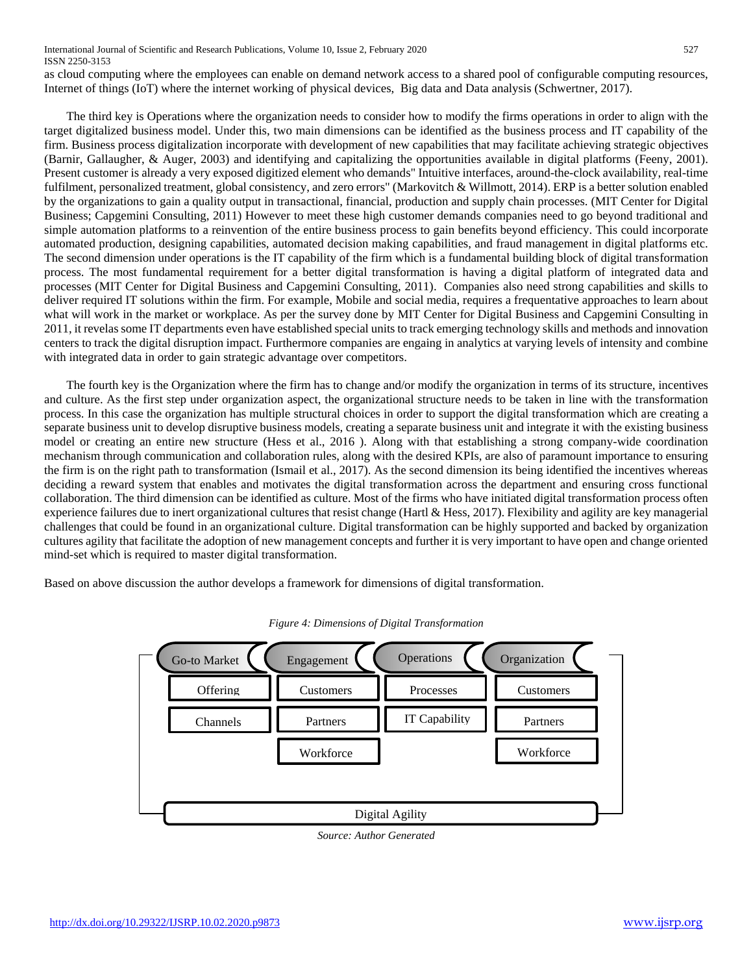as cloud computing where the employees can enable on demand network access to a shared pool of configurable computing resources, Internet of things (IoT) where the internet working of physical devices, Big data and Data analysis (Schwertner, 2017).

The third key is Operations where the organization needs to consider how to modify the firms operations in order to align with the target digitalized business model. Under this, two main dimensions can be identified as the business process and IT capability of the firm. Business process digitalization incorporate with development of new capabilities that may facilitate achieving strategic objectives (Barnir, Gallaugher, & Auger, 2003) and identifying and capitalizing the opportunities available in digital platforms (Feeny, 2001). Present customer is already a very exposed digitized element who demands" Intuitive interfaces, around-the-clock availability, real-time fulfilment, personalized treatment, global consistency, and zero errors" (Markovitch & Willmott, 2014). ERP is a better solution enabled by the organizations to gain a quality output in transactional, financial, production and supply chain processes. (MIT Center for Digital Business; Capgemini Consulting, 2011) However to meet these high customer demands companies need to go beyond traditional and simple automation platforms to a reinvention of the entire business process to gain benefits beyond efficiency. This could incorporate automated production, designing capabilities, automated decision making capabilities, and fraud management in digital platforms etc. The second dimension under operations is the IT capability of the firm which is a fundamental building block of digital transformation process. The most fundamental requirement for a better digital transformation is having a digital platform of integrated data and processes (MIT Center for Digital Business and Capgemini Consulting, 2011). Companies also need strong capabilities and skills to deliver required IT solutions within the firm. For example, Mobile and social media, requires a frequentative approaches to learn about what will work in the market or workplace. As per the survey done by MIT Center for Digital Business and Capgemini Consulting in 2011, it revelas some IT departments even have established special units to track emerging technology skills and methods and innovation centers to track the digital disruption impact. Furthermore companies are engaing in analytics at varying levels of intensity and combine with integrated data in order to gain strategic advantage over competitors.

The fourth key is the Organization where the firm has to change and/or modify the organization in terms of its structure, incentives and culture. As the first step under organization aspect, the organizational structure needs to be taken in line with the transformation process. In this case the organization has multiple structural choices in order to support the digital transformation which are creating a separate business unit to develop disruptive business models, creating a separate business unit and integrate it with the existing business model or creating an entire new structure (Hess et al., 2016 ). Along with that establishing a strong company-wide coordination mechanism through communication and collaboration rules, along with the desired KPIs, are also of paramount importance to ensuring the firm is on the right path to transformation (Ismail et al., 2017). As the second dimension its being identified the incentives whereas deciding a reward system that enables and motivates the digital transformation across the department and ensuring cross functional collaboration. The third dimension can be identified as culture. Most of the firms who have initiated digital transformation process often experience failures due to inert organizational cultures that resist change (Hartl & Hess, 2017). Flexibility and agility are key managerial challenges that could be found in an organizational culture. Digital transformation can be highly supported and backed by organization cultures agility that facilitate the adoption of new management concepts and further it is very important to have open and change oriented mind-set which is required to master digital transformation.

Based on above discussion the author develops a framework for dimensions of digital transformation.



*Figure 4: Dimensions of Digital Transformation*

*Source: Author Generated*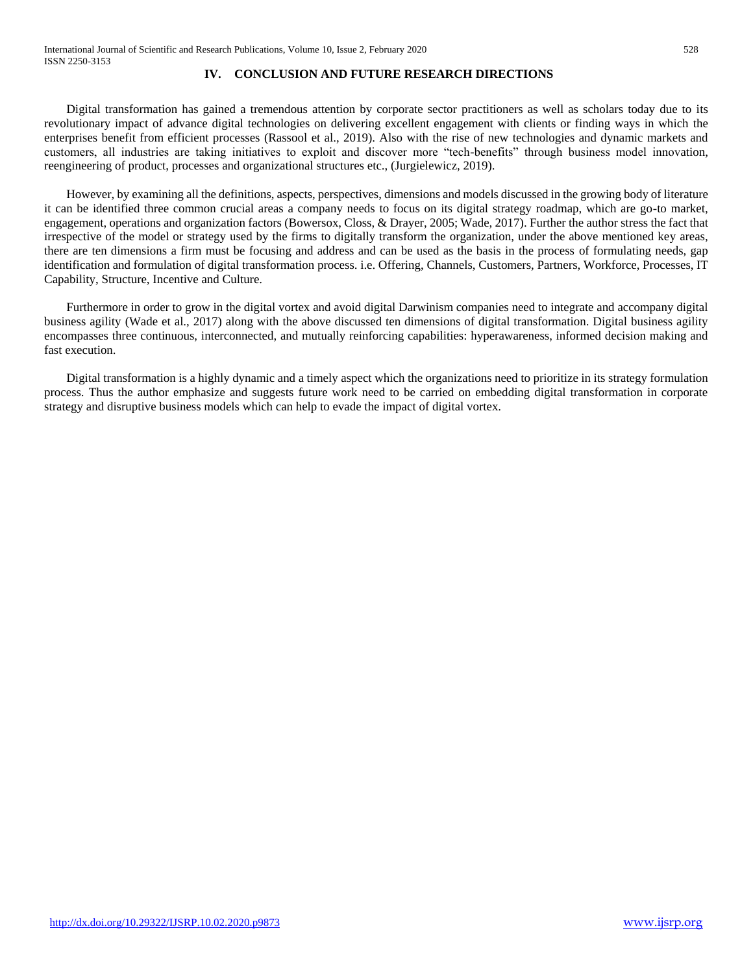## **IV. CONCLUSION AND FUTURE RESEARCH DIRECTIONS**

Digital transformation has gained a tremendous attention by corporate sector practitioners as well as scholars today due to its revolutionary impact of advance digital technologies on delivering excellent engagement with clients or finding ways in which the enterprises benefit from efficient processes (Rassool et al., 2019). Also with the rise of new technologies and dynamic markets and customers, all industries are taking initiatives to exploit and discover more "tech-benefits" through business model innovation, reengineering of product, processes and organizational structures etc., (Jurgielewicz, 2019).

However, by examining all the definitions, aspects, perspectives, dimensions and models discussed in the growing body of literature it can be identified three common crucial areas a company needs to focus on its digital strategy roadmap, which are go-to market, engagement, operations and organization factors (Bowersox, Closs, & Drayer, 2005; Wade, 2017). Further the author stress the fact that irrespective of the model or strategy used by the firms to digitally transform the organization, under the above mentioned key areas, there are ten dimensions a firm must be focusing and address and can be used as the basis in the process of formulating needs, gap identification and formulation of digital transformation process. i.e. Offering, Channels, Customers, Partners, Workforce, Processes, IT Capability, Structure, Incentive and Culture.

Furthermore in order to grow in the digital vortex and avoid digital Darwinism companies need to integrate and accompany digital business agility (Wade et al., 2017) along with the above discussed ten dimensions of digital transformation. Digital business agility encompasses three continuous, interconnected, and mutually reinforcing capabilities: hyperawareness, informed decision making and fast execution.

Digital transformation is a highly dynamic and a timely aspect which the organizations need to prioritize in its strategy formulation process. Thus the author emphasize and suggests future work need to be carried on embedding digital transformation in corporate strategy and disruptive business models which can help to evade the impact of digital vortex.